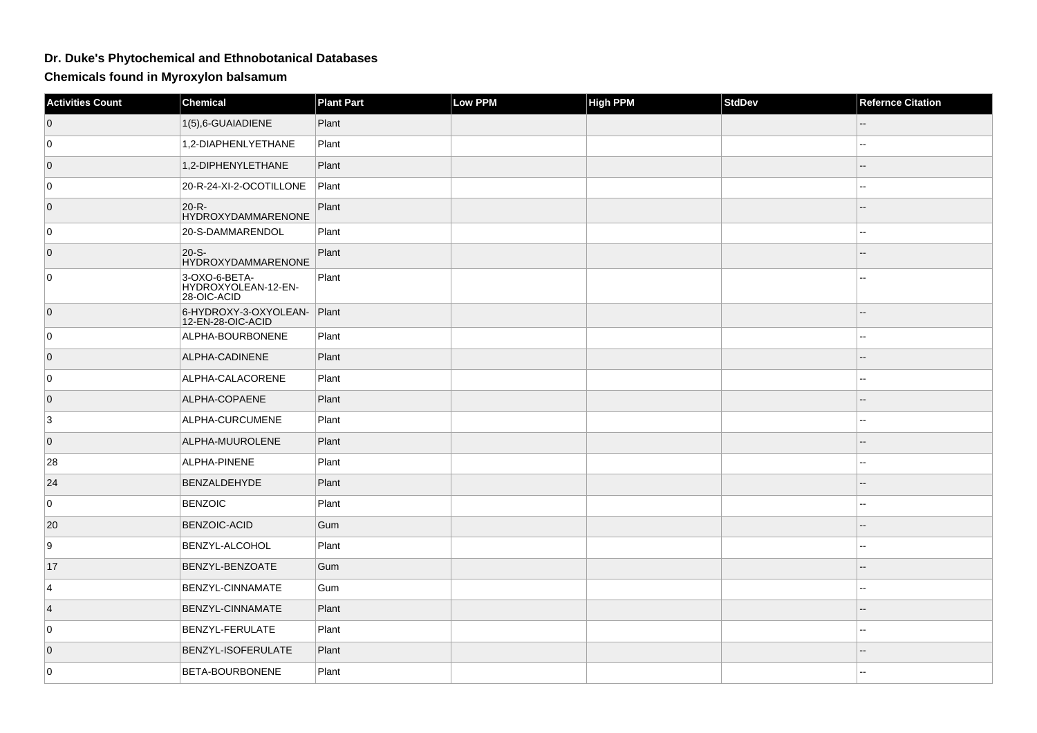## **Dr. Duke's Phytochemical and Ethnobotanical Databases**

**Chemicals found in Myroxylon balsamum**

| <b>Activities Count</b> | Chemical                                            | <b>Plant Part</b> | Low PPM | <b>High PPM</b> | <b>StdDev</b> | <b>Refernce Citation</b> |
|-------------------------|-----------------------------------------------------|-------------------|---------|-----------------|---------------|--------------------------|
| $\overline{0}$          | 1(5),6-GUAIADIENE                                   | Plant             |         |                 |               |                          |
| 0                       | 1,2-DIAPHENLYETHANE                                 | Plant             |         |                 |               | --                       |
| $\overline{0}$          | 1,2-DIPHENYLETHANE                                  | Plant             |         |                 |               | --                       |
| 0                       | 20-R-24-XI-2-OCOTILLONE                             | Plant             |         |                 |               | $\overline{a}$           |
| $\overline{0}$          | $20-R -$<br><b>HYDROXYDAMMARENONE</b>               | Plant             |         |                 |               | --                       |
| 0                       | 20-S-DAMMARENDOL                                    | Plant             |         |                 |               | $\overline{\phantom{a}}$ |
| $\overline{0}$          | 20-S-<br><b>HYDROXYDAMMARENONE</b>                  | Plant             |         |                 |               | $-$                      |
| 0                       | 3-OXO-6-BETA-<br>HYDROXYOLEAN-12-EN-<br>28-OIC-ACID | Plant             |         |                 |               |                          |
| $\overline{0}$          | 6-HYDROXY-3-OXYOLEAN-<br>12-EN-28-OIC-ACID          | Plant             |         |                 |               |                          |
| 0                       | ALPHA-BOURBONENE                                    | Plant             |         |                 |               | $\sim$                   |
| $\overline{0}$          | ALPHA-CADINENE                                      | Plant             |         |                 |               |                          |
| 0                       | ALPHA-CALACORENE                                    | Plant             |         |                 |               | --                       |
| $\overline{0}$          | ALPHA-COPAENE                                       | Plant             |         |                 |               |                          |
| 3                       | ALPHA-CURCUMENE                                     | Plant             |         |                 |               |                          |
| $\overline{0}$          | ALPHA-MUUROLENE                                     | Plant             |         |                 |               |                          |
| 28                      | ALPHA-PINENE                                        | Plant             |         |                 |               | --                       |
| 24                      | BENZALDEHYDE                                        | Plant             |         |                 |               |                          |
| 0                       | <b>BENZOIC</b>                                      | Plant             |         |                 |               | $-$                      |
| 20                      | BENZOIC-ACID                                        | Gum               |         |                 |               | --                       |
| 9                       | BENZYL-ALCOHOL                                      | Plant             |         |                 |               |                          |
| 17                      | BENZYL-BENZOATE                                     | Gum               |         |                 |               | $\qquad \qquad -$        |
| 4                       | BENZYL-CINNAMATE                                    | Gum               |         |                 |               | $\overline{a}$           |
| $\vert 4 \vert$         | BENZYL-CINNAMATE                                    | Plant             |         |                 |               |                          |
| 0                       | BENZYL-FERULATE                                     | Plant             |         |                 |               |                          |
| $\overline{0}$          | BENZYL-ISOFERULATE                                  | Plant             |         |                 |               |                          |
| 0                       | BETA-BOURBONENE                                     | Plant             |         |                 |               | ۵.                       |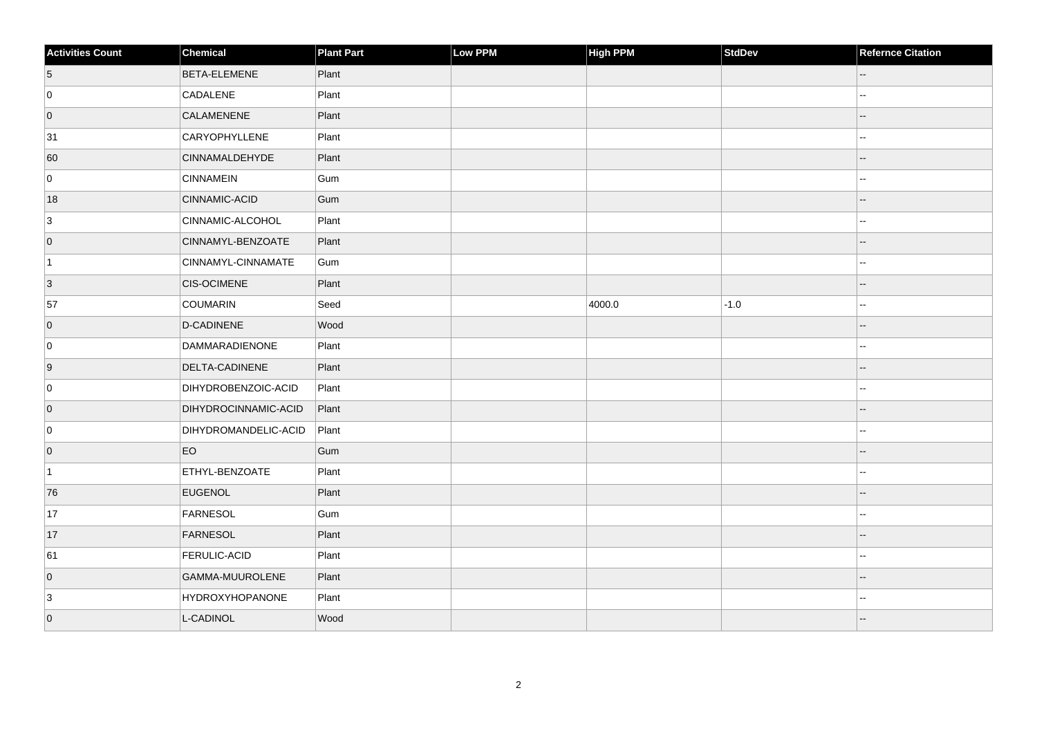| <b>Activities Count</b> | Chemical                    | <b>Plant Part</b> | Low PPM | High PPM | <b>StdDev</b> | <b>Refernce Citation</b> |
|-------------------------|-----------------------------|-------------------|---------|----------|---------------|--------------------------|
| $\sqrt{5}$              | <b>BETA-ELEMENE</b>         | Plant             |         |          |               | --                       |
| 0                       | CADALENE                    | Plant             |         |          |               |                          |
| $\overline{0}$          | CALAMENENE                  | Plant             |         |          |               |                          |
| 31                      | CARYOPHYLLENE               | Plant             |         |          |               | --                       |
| 60                      | <b>CINNAMALDEHYDE</b>       | Plant             |         |          |               | $-$                      |
| $\overline{0}$          | <b>CINNAMEIN</b>            | Gum               |         |          |               |                          |
| 18                      | CINNAMIC-ACID               | Gum               |         |          |               | --                       |
| 3                       | CINNAMIC-ALCOHOL            | Plant             |         |          |               | ۵.                       |
| $\overline{0}$          | CINNAMYL-BENZOATE           | Plant             |         |          |               |                          |
| $\vert$ 1               | CINNAMYL-CINNAMATE          | Gum               |         |          |               | $\overline{a}$           |
| 3                       | <b>CIS-OCIMENE</b>          | Plant             |         |          |               | --                       |
| 57                      | COUMARIN                    | Seed              |         | 4000.0   | $-1.0$        |                          |
| $\overline{0}$          | D-CADINENE                  | Wood              |         |          |               | $-$                      |
| 0                       | DAMMARADIENONE              | Plant             |         |          |               | Ξ.                       |
| 9                       | DELTA-CADINENE              | Plant             |         |          |               |                          |
| $\overline{0}$          | DIHYDROBENZOIC-ACID         | Plant             |         |          |               | $\overline{a}$           |
| $\overline{0}$          | <b>DIHYDROCINNAMIC-ACID</b> | Plant             |         |          |               | $-$                      |
| 0                       | DIHYDROMANDELIC-ACID        | Plant             |         |          |               |                          |
| $\overline{0}$          | EO                          | Gum               |         |          |               | $-$                      |
| $\overline{1}$          | ETHYL-BENZOATE              | Plant             |         |          |               |                          |
| 76                      | <b>EUGENOL</b>              | Plant             |         |          |               |                          |
| 17                      | FARNESOL                    | Gum               |         |          |               | $\overline{a}$           |
| 17                      | FARNESOL                    | Plant             |         |          |               |                          |
| 61                      | <b>FERULIC-ACID</b>         | Plant             |         |          |               |                          |
| $\overline{0}$          | GAMMA-MUUROLENE             | Plant             |         |          |               | --                       |
| $\mathbf{3}$            | <b>HYDROXYHOPANONE</b>      | Plant             |         |          |               |                          |
| $\overline{0}$          | L-CADINOL                   | Wood              |         |          |               |                          |